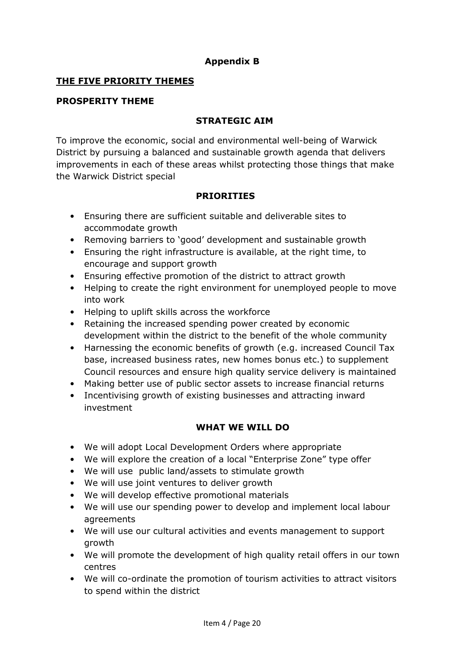# **Appendix B**

### **THE FIVE PRIORITY THEMES**

#### **PROSPERITY THEME**

## **STRATEGIC AIM**

To improve the economic, social and environmental well-being of Warwick District by pursuing a balanced and sustainable growth agenda that delivers improvements in each of these areas whilst protecting those things that make the Warwick District special

#### **PRIORITIES**

- Ensuring there are sufficient suitable and deliverable sites to accommodate growth
- Removing barriers to 'good' development and sustainable growth
- Ensuring the right infrastructure is available, at the right time, to encourage and support growth
- Ensuring effective promotion of the district to attract growth
- Helping to create the right environment for unemployed people to move into work
- Helping to uplift skills across the workforce
- Retaining the increased spending power created by economic development within the district to the benefit of the whole community
- Harnessing the economic benefits of growth (e.g. increased Council Tax base, increased business rates, new homes bonus etc.) to supplement Council resources and ensure high quality service delivery is maintained
- Making better use of public sector assets to increase financial returns
- Incentivising growth of existing businesses and attracting inward investment

- We will adopt Local Development Orders where appropriate
- We will explore the creation of a local "Enterprise Zone" type offer
- We will use public land/assets to stimulate growth
- We will use joint ventures to deliver growth
- We will develop effective promotional materials
- We will use our spending power to develop and implement local labour agreements
- We will use our cultural activities and events management to support growth
- We will promote the development of high quality retail offers in our town centres
- We will co-ordinate the promotion of tourism activities to attract visitors to spend within the district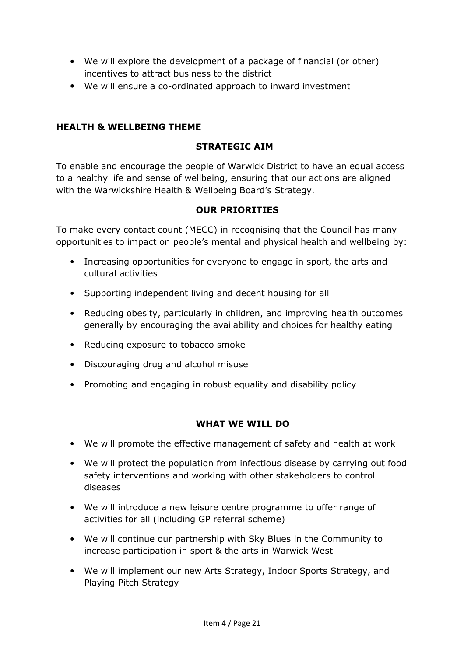- We will explore the development of a package of financial (or other) incentives to attract business to the district
- We will ensure a co-ordinated approach to inward investment

# **HEALTH & WELLBEING THEME**

## **STRATEGIC AIM**

To enable and encourage the people of Warwick District to have an equal access to a healthy life and sense of wellbeing, ensuring that our actions are aligned with the Warwickshire Health & Wellbeing Board's Strategy.

## **OUR PRIORITIES**

To make every contact count (MECC) in recognising that the Council has many opportunities to impact on people's mental and physical health and wellbeing by:

- Increasing opportunities for everyone to engage in sport, the arts and cultural activities
- Supporting independent living and decent housing for all
- Reducing obesity, particularly in children, and improving health outcomes generally by encouraging the availability and choices for healthy eating
- Reducing exposure to tobacco smoke
- Discouraging drug and alcohol misuse
- Promoting and engaging in robust equality and disability policy

- We will promote the effective management of safety and health at work
- We will protect the population from infectious disease by carrying out food safety interventions and working with other stakeholders to control diseases
- We will introduce a new leisure centre programme to offer range of activities for all (including GP referral scheme)
- We will continue our partnership with Sky Blues in the Community to increase participation in sport & the arts in Warwick West
- We will implement our new Arts Strategy, Indoor Sports Strategy, and Playing Pitch Strategy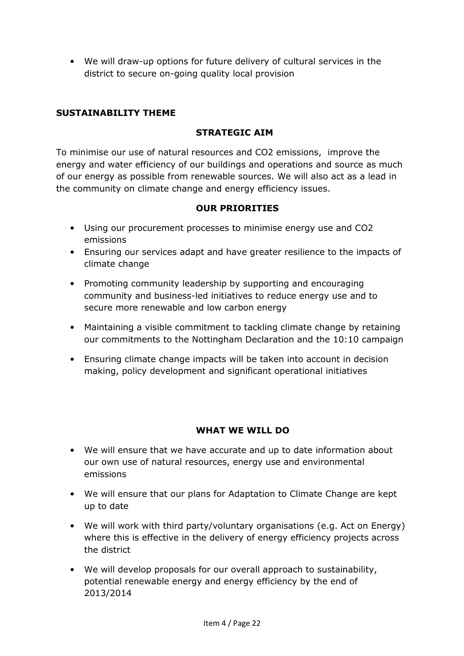• We will draw-up options for future delivery of cultural services in the district to secure on-going quality local provision

## **SUSTAINABILITY THEME**

## **STRATEGIC AIM**

To minimise our use of natural resources and CO2 emissions, improve the energy and water efficiency of our buildings and operations and source as much of our energy as possible from renewable sources. We will also act as a lead in the community on climate change and energy efficiency issues.

#### **OUR PRIORITIES**

- Using our procurement processes to minimise energy use and CO2 emissions
- Ensuring our services adapt and have greater resilience to the impacts of climate change
- Promoting community leadership by supporting and encouraging community and business-led initiatives to reduce energy use and to secure more renewable and low carbon energy
- Maintaining a visible commitment to tackling climate change by retaining our commitments to the Nottingham Declaration and the 10:10 campaign
- Ensuring climate change impacts will be taken into account in decision making, policy development and significant operational initiatives

- We will ensure that we have accurate and up to date information about our own use of natural resources, energy use and environmental emissions
- We will ensure that our plans for Adaptation to Climate Change are kept up to date
- We will work with third party/voluntary organisations (e.g. Act on Energy) where this is effective in the delivery of energy efficiency projects across the district
- We will develop proposals for our overall approach to sustainability, potential renewable energy and energy efficiency by the end of 2013/2014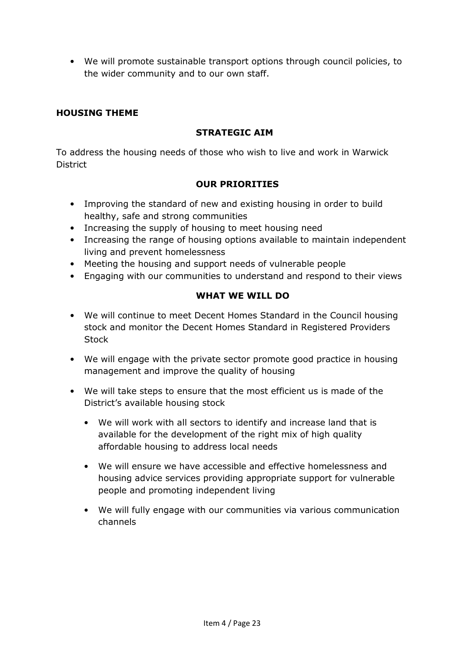• We will promote sustainable transport options through council policies, to the wider community and to our own staff.

# **HOUSING THEME**

## **STRATEGIC AIM**

To address the housing needs of those who wish to live and work in Warwick **District** 

## **OUR PRIORITIES**

- Improving the standard of new and existing housing in order to build healthy, safe and strong communities
- Increasing the supply of housing to meet housing need
- Increasing the range of housing options available to maintain independent living and prevent homelessness
- Meeting the housing and support needs of vulnerable people
- Engaging with our communities to understand and respond to their views

- We will continue to meet Decent Homes Standard in the Council housing stock and monitor the Decent Homes Standard in Registered Providers **Stock**
- We will engage with the private sector promote good practice in housing management and improve the quality of housing
- We will take steps to ensure that the most efficient us is made of the District's available housing stock
	- We will work with all sectors to identify and increase land that is available for the development of the right mix of high quality affordable housing to address local needs
	- We will ensure we have accessible and effective homelessness and housing advice services providing appropriate support for vulnerable people and promoting independent living
	- We will fully engage with our communities via various communication channels